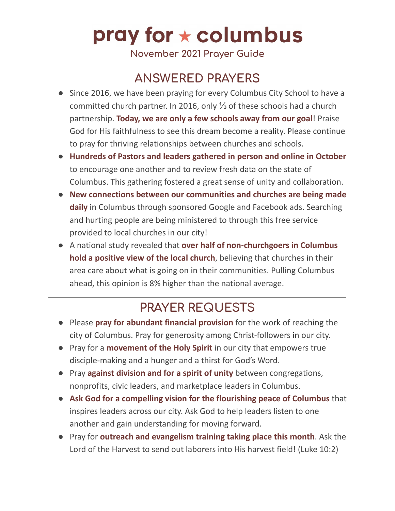## pray for  $\star$  columbus

**November 2021 Prayer Guide**

## **ANSWERED PRAYERS**

- Since 2016, we have been praying for every Columbus City School to have a committed church partner. In 2016, only ⅓ of these schools had a church partnership. **Today, we are only a few schools away from our goal**! Praise God for His faithfulness to see this dream become a reality. Please continue to pray for thriving relationships between churches and schools.
- **Hundreds of Pastors and leaders gathered in person and online in October** to encourage one another and to review fresh data on the state of Columbus. This gathering fostered a great sense of unity and collaboration.
- **New connections between our communities and churches are being made daily** in Columbus through sponsored Google and Facebook ads. Searching and hurting people are being ministered to through this free service provided to local churches in our city!
- A national study revealed that **over half of non-churchgoers in Columbus hold a positive view of the local church**, believing that churches in their area care about what is going on in their communities. Pulling Columbus ahead, this opinion is 8% higher than the national average.

### **PRAYER REQUESTS**

- Please **pray for abundant financial provision** for the work of reaching the city of Columbus. Pray for generosity among Christ-followers in our city.
- Pray for a **movement of the Holy Spirit** in our city that empowers true disciple-making and a hunger and a thirst for God's Word.
- Pray **against division and for a spirit of unity** between congregations, nonprofits, civic leaders, and marketplace leaders in Columbus.
- **Ask God for a compelling vision for the flourishing peace of Columbus** that inspires leaders across our city. Ask God to help leaders listen to one another and gain understanding for moving forward.
- Pray for **outreach and evangelism training taking place this month**. Ask the Lord of the Harvest to send out laborers into His harvest field! (Luke 10:2)